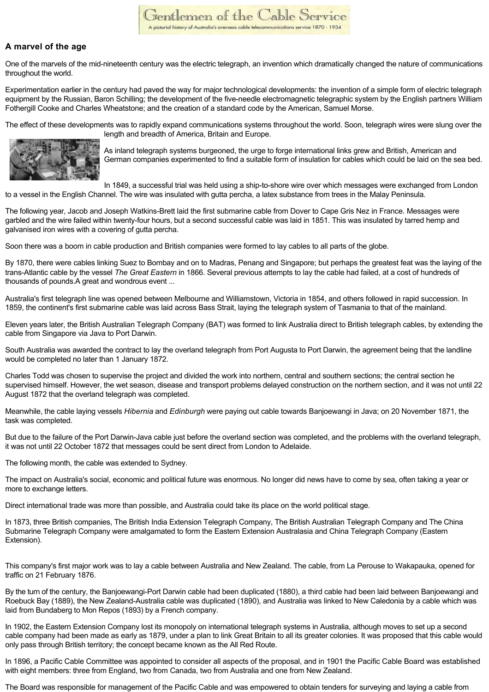## **A marvel of the age**

One of the marvels of the mid-nineteenth century was the electric telegraph, an invention which dramatically changed the nature of communications throughout the world.

Experimentation earlier in the century had paved the way for major technological developments: the invention of a simple form of electric telegraph equipment by the Russian, Baron Schilling; the development of the five-needle electromagnetic telegraphic system by the English partners William Fothergill Cooke and Charles Wheatstone; and the creation of a standard code by the American, Samuel Morse.

The effect of these developments was to rapidly expand communications systems throughout the world. Soon, telegraph wires were slung over the length and breadth of America, Britain and Europe.



As inland telegraph systems burgeoned, the urge to forge international links grew and British, American and German companies experimented to find a suitable form of insulation for cables which could be laid on the sea bed.

In 1849, a successful trial was held using a ship-to-shore wire over which messages were exchanged from London to a vessel in the English Channel. The wire was insulated with gutta percha, a latex substance from trees in the Malay Peninsula.

The following year, Jacob and Joseph Watkins-Brett laid the first submarine cable from Dover to Cape Gris Nez in France. Messages were garbled and the wire failed within twenty-four hours, but a second successful cable was laid in 1851. This was insulated by tarred hemp and galvanised iron wires with a covering of gutta percha.

Soon there was a boom in cable production and British companies were formed to lay cables to all parts of the globe.

By 1870, there were cables linking Suez to Bombay and on to Madras, Penang and Singapore; but perhaps the greatest feat was the laying of the trans-Atlantic cable by the vessel *The Great Eastern* in 1866. Several previous attempts to lay the cable had failed, at a cost of hundreds of thousands of pounds.A great and wondrous event ...

Australia's first telegraph line was opened between Melbourne and Williamstown, Victoria in 1854, and others followed in rapid succession. In 1859, the continent's first submarine cable was laid across Bass Strait, laying the telegraph system of Tasmania to that of the mainland.

Eleven years later, the British Australian Telegraph Company (BAT) was formed to link Australia direct to British telegraph cables, by extending the cable from Singapore via Java to Port Darwin.

South Australia was awarded the contract to lay the overland telegraph from Port Augusta to Port Darwin, the agreement being that the landline would be completed no later than 1 January 1872.

Charles Todd was chosen to supervise the project and divided the work into northern, central and southern sections; the central section he supervised himself. However, the wet season, disease and transport problems delayed construction on the northern section, and it was not until 22 August 1872 that the overland telegraph was completed.

Meanwhile, the cable laying vessels *Hibernia* and *Edinburgh* were paying out cable towards Banjoewangi in Java; on 20 November 1871, the task was completed.

But due to the failure of the Port Darwin-Java cable just before the overland section was completed, and the problems with the overland telegraph, it was not until 22 October 1872 that messages could be sent direct from London to Adelaide.

The following month, the cable was extended to Sydney.

The impact on Australia's social, economic and political future was enormous. No longer did news have to come by sea, often taking a year or more to exchange letters.

Direct international trade was more than possible, and Australia could take its place on the world political stage.

In 1873, three British companies, The British India Extension Telegraph Company, The British Australian Telegraph Company and The China Submarine Telegraph Company were amalgamated to form the Eastern Extension Australasia and China Telegraph Company (Eastern Extension).

This company's first major work was to lay a cable between Australia and New Zealand. The cable, from La Perouse to Wakapauka, opened for traffic on 21 February 1876.

By the turn of the century, the Banjoewangi-Port Darwin cable had been duplicated (1880), a third cable had been laid between Banjoewangi and Roebuck Bay (1889), the New Zealand-Australia cable was duplicated (1890), and Australia was linked to New Caledonia by a cable which was laid from Bundaberg to Mon Repos (1893) by a French company.

In 1902, the Eastern Extension Company lost its monopoly on international telegraph systems in Australia, although moves to set up a second cable company had been made as early as 1879, under a plan to link Great Britain to all its greater colonies. It was proposed that this cable would only pass through British territory; the concept became known as the All Red Route.

In 1896, a Pacific Cable Committee was appointed to consider all aspects of the proposal, and in 1901 the Pacific Cable Board was established with eight members: three from England, two from Canada, two from Australia and one from New Zealand.

The Board was responsible for management of the Pacific Cable and was empowered to obtain tenders for surveying and laying a cable from